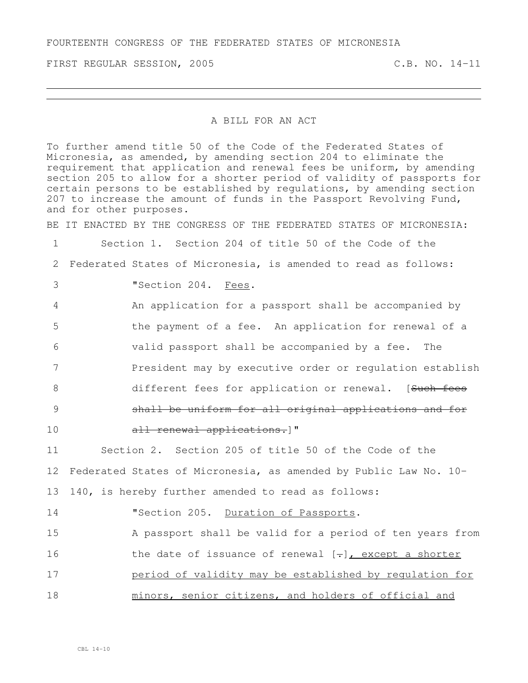FIRST REGULAR SESSION, 2005 C.B. NO. 14-11

## A BILL FOR AN ACT

To further amend title 50 of the Code of the Federated States of Micronesia, as amended, by amending section 204 to eliminate the requirement that application and renewal fees be uniform, by amending section 205 to allow for a shorter period of validity of passports for certain persons to be established by regulations, by amending section to increase the amount of funds in the Passport Revolving Fund, and for other purposes. BE IT ENACTED BY THE CONGRESS OF THE FEDERATED STATES OF MICRONESIA: Section 1. Section 204 of title 50 of the Code of the Federated States of Micronesia, is amended to read as follows: "Section 204. Fees. An application for a passport shall be accompanied by the payment of a fee. An application for renewal of a valid passport shall be accompanied by a fee. The President may by executive order or regulation establish 8 different fees for application or renewal. [Such fees shall be uniform for all original applications and for 10 all renewal applications. Section 2. Section 205 of title 50 of the Code of the Federated States of Micronesia, as amended by Public Law No. 10- 140, is hereby further amended to read as follows: **"Section 205.** Duration of Passports. A passport shall be valid for a period of ten years from 16 the date of issuance of renewal  $[-]$ , except a shorter period of validity may be established by regulation for minors, senior citizens, and holders of official and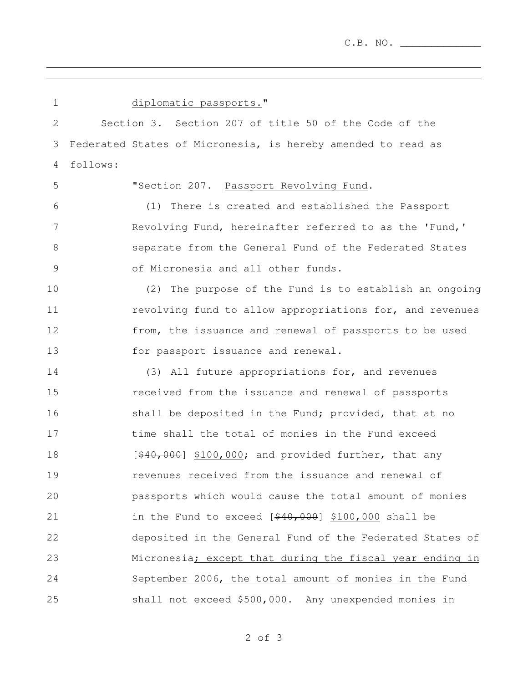C.B. NO. \_\_\_\_\_\_\_\_\_\_\_\_\_

the control of the control of the control of the control of the control of the control of the control of the control of the control of the control of the control of the control of the control of the control of the control

| $\mathbf 1$ | diplomatic passports."                                       |
|-------------|--------------------------------------------------------------|
| 2           | Section 3. Section 207 of title 50 of the Code of the        |
| 3           | Federated States of Micronesia, is hereby amended to read as |
| 4           | follows:                                                     |
| 5           | "Section 207. Passport Revolving Fund.                       |
| 6           | (1) There is created and established the Passport            |
| 7           | Revolving Fund, hereinafter referred to as the 'Fund,'       |
| 8           | separate from the General Fund of the Federated States       |
| 9           | of Micronesia and all other funds.                           |
| 10          | (2) The purpose of the Fund is to establish an ongoing       |
| 11          | revolving fund to allow appropriations for, and revenues     |
| 12          | from, the issuance and renewal of passports to be used       |
| 13          | for passport issuance and renewal.                           |
| 14          | (3) All future appropriations for, and revenues              |
| 15          | received from the issuance and renewal of passports          |
| 16          | shall be deposited in the Fund; provided, that at no         |
| 17          | time shall the total of monies in the Fund exceed            |
| 18          | $[440,000]$ \$100,000; and provided further, that any        |
| 19          | revenues received from the issuance and renewal of           |
| 20          | passports which would cause the total amount of monies       |
| 21          | in the Fund to exceed $[440,000]$ \$100,000 shall be         |
| 22          | deposited in the General Fund of the Federated States of     |
| 23          | Micronesia; except that during the fiscal year ending in     |
| 24          | September 2006, the total amount of monies in the Fund       |
| 25          | shall not exceed \$500,000. Any unexpended monies in         |

and the control of the control of the control of the control of the control of the control of the control of the

of 3